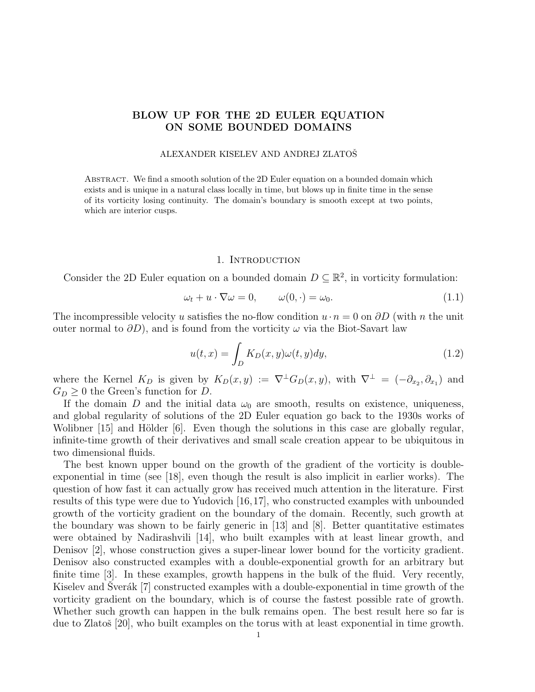# BLOW UP FOR THE 2D EULER EQUATION ON SOME BOUNDED DOMAINS

#### ALEXANDER KISELEV AND ANDREJ ZLATOŠ

ABSTRACT. We find a smooth solution of the 2D Euler equation on a bounded domain which exists and is unique in a natural class locally in time, but blows up in finite time in the sense of its vorticity losing continuity. The domain's boundary is smooth except at two points, which are interior cusps.

## 1. INTRODUCTION

Consider the 2D Euler equation on a bounded domain  $D \subseteq \mathbb{R}^2$ , in vorticity formulation:

$$
\omega_t + u \cdot \nabla \omega = 0, \qquad \omega(0, \cdot) = \omega_0. \tag{1.1}
$$

The incompressible velocity u satisfies the no-flow condition  $u \cdot n = 0$  on  $\partial D$  (with n the unit outer normal to  $\partial D$ ), and is found from the vorticity  $\omega$  via the Biot-Savart law

$$
u(t,x) = \int_{D} K_{D}(x,y)\omega(t,y)dy,
$$
\n(1.2)

where the Kernel  $K_D$  is given by  $K_D(x,y) := \nabla^{\perp} G_D(x,y)$ , with  $\nabla^{\perp} = (-\partial_{x_2}, \partial_{x_1})$  and  $G_D \geq 0$  the Green's function for D.

If the domain D and the initial data  $\omega_0$  are smooth, results on existence, uniqueness, and global regularity of solutions of the 2D Euler equation go back to the 1930s works of Wolibner  $[15]$  and Hölder  $[6]$ . Even though the solutions in this case are globally regular, infinite-time growth of their derivatives and small scale creation appear to be ubiquitous in two dimensional fluids.

The best known upper bound on the growth of the gradient of the vorticity is doubleexponential in time (see [18], even though the result is also implicit in earlier works). The question of how fast it can actually grow has received much attention in the literature. First results of this type were due to Yudovich [16,17], who constructed examples with unbounded growth of the vorticity gradient on the boundary of the domain. Recently, such growth at the boundary was shown to be fairly generic in  $|13|$  and  $|8|$ . Better quantitative estimates were obtained by Nadirashvili [14], who built examples with at least linear growth, and Denisov [2], whose construction gives a super-linear lower bound for the vorticity gradient. Denisov also constructed examples with a double-exponential growth for an arbitrary but finite time [3]. In these examples, growth happens in the bulk of the fluid. Very recently, Kiselev and Sverák  $[7]$  constructed examples with a double-exponential in time growth of the vorticity gradient on the boundary, which is of course the fastest possible rate of growth. Whether such growth can happen in the bulk remains open. The best result here so far is due to Zlatoš [20], who built examples on the torus with at least exponential in time growth.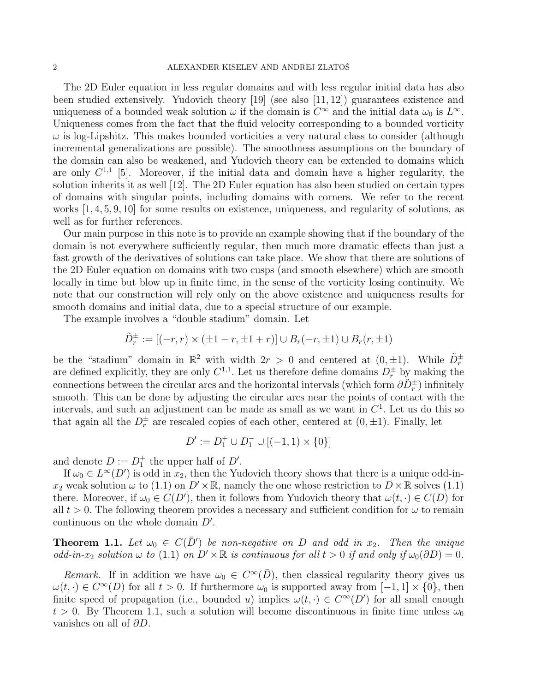The 2D Euler equation in less regular domains and with less regular initial data has also been studied extensively. Yudovich theory  $[19]$  (see also  $[11, 12]$ ) guarantees existence and uniqueness of a bounded weak solution  $\omega$  if the domain is  $C^{\infty}$  and the initial data  $\omega_0$  is  $L^{\infty}$ . Uniqueness comes from the fact that the fluid velocity corresponding to a bounded vorticity  $\omega$  is log-Lipshitz. This makes bounded vorticities a very natural class to consider (although incremental generalizations are possible). The smoothness assumptions on the boundary of the domain can also be weakened, and Yudovich theory can be extended to domains which are only  $C^{1,1}$  [5]. Moreover, if the initial data and domain have a higher regularity, the solution inherits it as well [12]. The 2D Euler equation has also been studied on certain types of domains with singular points, including domains with corners. We refer to the recent works  $[1, 4, 5, 9, 10]$  for some results on existence, uniqueness, and regularity of solutions, as well as for further references.

Our main purpose in this note is to provide an example showing that if the boundary of the domain is not everywhere sufficiently regular, then much more dramatic effects than just a fast growth of the derivatives of solutions can take place. We show that there are solutions of the 2D Euler equation on domains with two cusps (and smooth elsewhere) which are smooth locally in time but blow up in finite time, in the sense of the vorticity losing continuity. We note that our construction will rely only on the above existence and uniqueness results for smooth domains and initial data, due to a special structure of our example.

The example involves a "double stadium" domain. Let

$$
\tilde{D}_r^{\pm} := [(-r, r) \times (\pm 1 - r, \pm 1 + r)] \cup B_r(-r, \pm 1) \cup B_r(r, \pm 1)
$$

be the "stadium" domain in  $\mathbb{R}^2$  with width  $2r > 0$  and centered at  $(0, \pm 1)$ . While  $\tilde{D}_r^{\pm}$  are defined explicitly, they are only  $C^{1,1}$ . Let us therefore define domains  $D_r^{\pm}$  by making the connections between the circular arcs and the horizontal intervals (which form  $\partial \tilde{D}^{\pm}_{r}$ ) infinitely smooth. This can be done by adjusting the circular arcs near the points of contact with the intervals, and such an adjustment can be made as small as we want in  $C<sup>1</sup>$ . Let us do this so that again all the  $D_r^{\pm}$  are rescaled copies of each other, centered at  $(0, \pm 1)$ . Finally, let

$$
D':=D_1^+\cup D_1^-\cup [(-1,1)\times \{0\}]
$$

and denote  $D := D_1^+$  the upper half of  $D'$ .

If  $\omega_0 \in L^{\infty}(D')$  is odd in  $x_2$ , then the Yudovich theory shows that there is a unique odd-in $x_2$  weak solution  $\omega$  to (1.1) on  $D' \times \mathbb{R}$ , namely the one whose restriction to  $D \times \mathbb{R}$  solves (1.1) there. Moreover, if  $\omega_0 \in C(D')$ , then it follows from Yudovich theory that  $\omega(t, \cdot) \in C(D)$  for all  $t > 0$ . The following theorem provides a necessary and sufficient condition for  $\omega$  to remain continuous on the whole domain  $D'$ .

**Theorem 1.1.** Let  $\omega_0 \in C(\overline{D}')$  be non-negative on D and odd in  $x_2$ . Then the unique odd-in-x<sub>2</sub> solution  $\omega$  to (1.1) on  $D' \times \mathbb{R}$  is continuous for all  $t > 0$  if and only if  $\omega_0(\partial D) = 0$ .

Remark. If in addition we have  $\omega_0 \in C^{\infty}(\overline{D})$ , then classical regularity theory gives us  $\omega(t, \cdot) \in C^{\infty}(D)$  for all  $t > 0$ . If furthermore  $\omega_0$  is supported away from  $[-1, 1] \times \{0\}$ , then finite speed of propagation (i.e., bounded u) implies  $\omega(t, \cdot) \in C^{\infty}(D')$  for all small enough  $t > 0$ . By Theorem 1.1, such a solution will become discontinuous in finite time unless  $\omega_0$ vanishes on all of  $\partial D$ .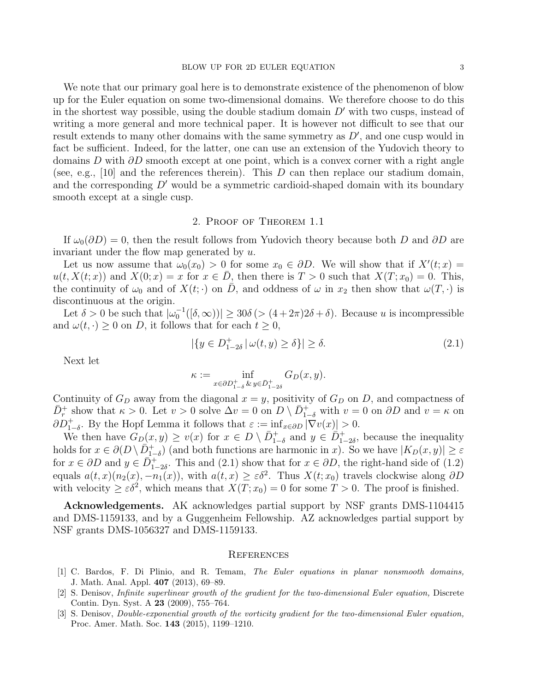We note that our primary goal here is to demonstrate existence of the phenomenon of blow up for the Euler equation on some two-dimensional domains. We therefore choose to do this in the shortest way possible, using the double stadium domain  $D'$  with two cusps, instead of writing a more general and more technical paper. It is however not difficult to see that our result extends to many other domains with the same symmetry as  $D'$ , and one cusp would in fact be sufficient. Indeed, for the latter, one can use an extension of the Yudovich theory to domains D with  $\partial D$  smooth except at one point, which is a convex corner with a right angle (see, e.g., [10] and the references therein). This  $D$  can then replace our stadium domain, and the corresponding  $D'$  would be a symmetric cardioid-shaped domain with its boundary smooth except at a single cusp.

### 2. Proof of Theorem 1.1

If  $\omega_0(\partial D) = 0$ , then the result follows from Yudovich theory because both D and ∂D are invariant under the flow map generated by u.

Let us now assume that  $\omega_0(x_0) > 0$  for some  $x_0 \in \partial D$ . We will show that if  $X'(t; x) =$  $u(t, X(t; x))$  and  $X(0; x) = x$  for  $x \in \overline{D}$ , then there is  $T > 0$  such that  $X(T; x_0) = 0$ . This, the continuity of  $\omega_0$  and of  $X(t; \cdot)$  on  $\overline{D}$ , and oddness of  $\omega$  in  $x_2$  then show that  $\omega(T, \cdot)$  is discontinuous at the origin.

Let  $\delta > 0$  be such that  $|\omega_0^{-1}([\delta, \infty))| \ge 30\delta \, (>(4 + 2\pi)2\delta + \delta)$ . Because u is incompressible and  $\omega(t, \cdot) \geq 0$  on D, it follows that for each  $t \geq 0$ ,

$$
|\{y \in D_{1-2\delta}^+ \mid \omega(t, y) \ge \delta\}| \ge \delta. \tag{2.1}
$$

Next let

$$
\kappa := \inf_{x \in \partial D^+_{1-\delta} \& y \in \bar{D}^+_{1-2\delta}} G_D(x, y).
$$

Continuity of  $G_D$  away from the diagonal  $x = y$ , positivity of  $G_D$  on D, and compactness of  $\overline{D}_r^+$  show that  $\kappa > 0$ . Let  $v > 0$  solve  $\Delta v = 0$  on  $\overline{D} \setminus \overline{D}_{1-\delta}^+$  with  $v = 0$  on  $\partial D$  and  $v = \kappa$  on  $\partial D_{1-\delta}^+$ . By the Hopf Lemma it follows that  $\varepsilon := \inf_{x \in \partial D} |\nabla v(x)| > 0$ .

We then have  $G_D(x,y) \ge v(x)$  for  $x \in D \setminus \overline{D}_{1-\delta}^+$  and  $y \in \overline{D}_{1-2\delta}^+$ , because the inequality holds for  $x \in \partial(D \setminus \overline{D}_{1-\delta}^+)$  (and both functions are harmonic in x). So we have  $|K_D(x, y)| \ge \varepsilon$ for  $x \in \partial D$  and  $y \in \overline{D}_{1-2\delta}^+$ . This and (2.1) show that for  $x \in \partial D$ , the right-hand side of (1.2) equals  $a(t, x)(n_2(x), -n_1(x))$ , with  $a(t, x) \geq \varepsilon \delta^2$ . Thus  $X(t; x_0)$  travels clockwise along  $\partial D$ with velocity  $\geq \varepsilon \delta^2$ , which means that  $X(T; x_0) = 0$  for some  $T > 0$ . The proof is finished.

Acknowledgements. AK acknowledges partial support by NSF grants DMS-1104415 and DMS-1159133, and by a Guggenheim Fellowship. AZ acknowledges partial support by NSF grants DMS-1056327 and DMS-1159133.

#### **REFERENCES**

- [1] C. Bardos, F. Di Plinio, and R. Temam, The Euler equations in planar nonsmooth domains, J. Math. Anal. Appl. 407 (2013), 69–89.
- [2] S. Denisov, Infinite superlinear growth of the gradient for the two-dimensional Euler equation, Discrete Contin. Dyn. Syst. A 23 (2009), 755–764.
- [3] S. Denisov, Double-exponential growth of the vorticity gradient for the two-dimensional Euler equation, Proc. Amer. Math. Soc. 143 (2015), 1199–1210.